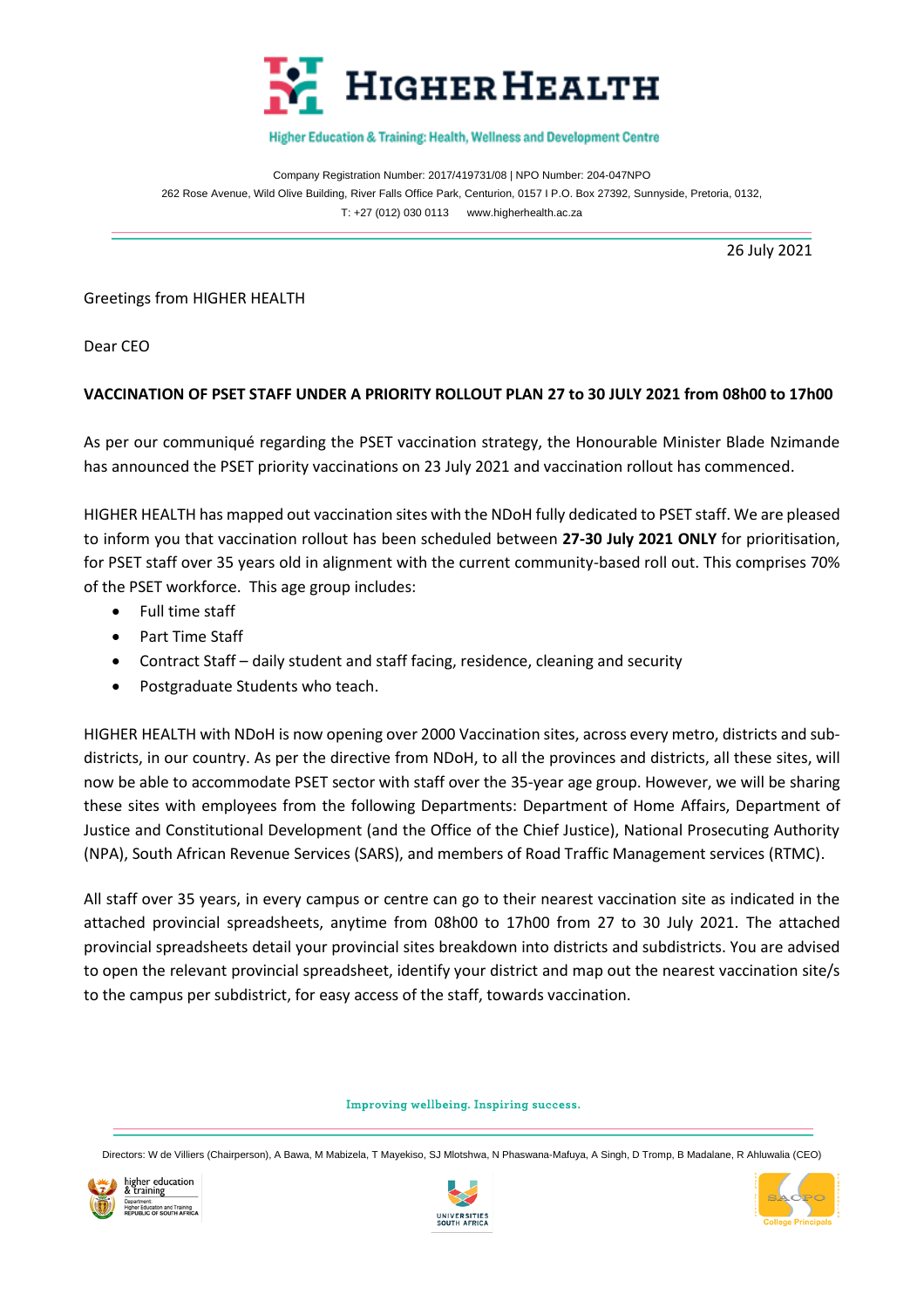

## Higher Education & Training: Health, Wellness and Development Centre

Company Registration Number: 2017/419731/08 | NPO Number: 204-047NPO 262 Rose Avenue, Wild Olive Building, River Falls Office Park, Centurion, 0157 I P.O. Box 27392, Sunnyside, Pretoria, 0132, T: +27 (012) 030 0113 [www.higherhealth.ac.za](http://www.higherhealth.ac.za/)

26 July 2021

Greetings from HIGHER HEALTH

Dear CEO

## **VACCINATION OF PSET STAFF UNDER A PRIORITY ROLLOUT PLAN 27 to 30 JULY 2021 from 08h00 to 17h00**

As per our communiqué regarding the PSET vaccination strategy, the Honourable Minister Blade Nzimande has announced the PSET priority vaccinations on 23 July 2021 and vaccination rollout has commenced.

HIGHER HEALTH has mapped out vaccination sites with the NDoH fully dedicated to PSET staff. We are pleased to inform you that vaccination rollout has been scheduled between **27-30 July 2021 ONLY** for prioritisation, for PSET staff over 35 years old in alignment with the current community-based roll out. This comprises 70% of the PSET workforce. This age group includes:

- Full time staff
- Part Time Staff
- Contract Staff daily student and staff facing, residence, cleaning and security
- Postgraduate Students who teach.

HIGHER HEALTH with NDoH is now opening over 2000 Vaccination sites, across every metro, districts and subdistricts, in our country. As per the directive from NDoH, to all the provinces and districts, all these sites, will now be able to accommodate PSET sector with staff over the 35-year age group. However, we will be sharing these sites with employees from the following Departments: Department of Home Affairs, Department of Justice and Constitutional Development (and the Office of the Chief Justice), National Prosecuting Authority (NPA), South African Revenue Services (SARS), and members of Road Traffic Management services (RTMC).

All staff over 35 years, in every campus or centre can go to their nearest vaccination site as indicated in the attached provincial spreadsheets, anytime from 08h00 to 17h00 from 27 to 30 July 2021. The attached provincial spreadsheets detail your provincial sites breakdown into districts and subdistricts. You are advised to open the relevant provincial spreadsheet, identify your district and map out the nearest vaccination site/s to the campus per subdistrict, for easy access of the staff, towards vaccination.

Improving wellbeing. Inspiring success.

Directors: W de Villiers (Chairperson), A Bawa, M Mabizela, T Mayekiso, SJ Mlotshwa, N Phaswana-Mafuya, A Singh, D Tromp, B Madalane, R Ahluwalia (CEO)